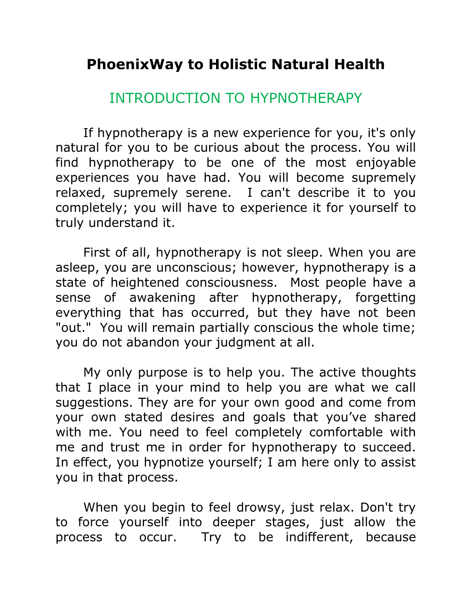## **PhoenixWay to Holistic Natural Health**

## INTRODUCTION TO HYPNOTHERAPY

If hypnotherapy is a new experience for you, it's only natural for you to be curious about the process. You will find hypnotherapy to be one of the most enjoyable experiences you have had. You will become supremely relaxed, supremely serene. I can't describe it to you completely; you will have to experience it for yourself to truly understand it.

First of all, hypnotherapy is not sleep. When you are asleep, you are unconscious; however, hypnotherapy is a state of heightened consciousness. Most people have a sense of awakening after hypnotherapy, forgetting everything that has occurred, but they have not been "out." You will remain partially conscious the whole time; you do not abandon your judgment at all.

My only purpose is to help you. The active thoughts that I place in your mind to help you are what we call suggestions. They are for your own good and come from your own stated desires and goals that you've shared with me. You need to feel completely comfortable with me and trust me in order for hypnotherapy to succeed. In effect, you hypnotize yourself; I am here only to assist you in that process.

When you begin to feel drowsy, just relax. Don't try to force yourself into deeper stages, just allow the process to occur. Try to be indifferent, because